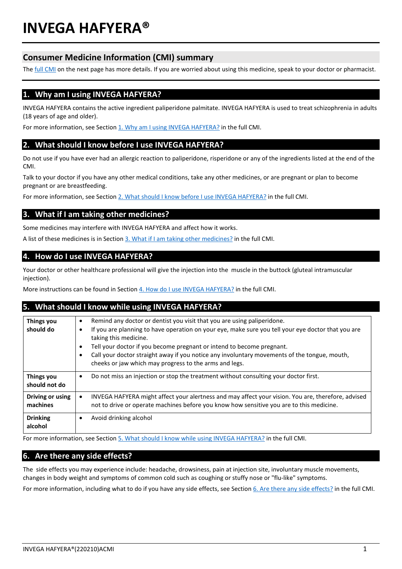# **INVEGA HAFYERA®**

# **Consumer Medicine Information (CMI) summary**

The **full CMI** on the next page has more details. If you are worried about using this medicine, speak to your doctor or pharmacist.

## **1. Why am I using INVEGA HAFYERA?**

INVEGA HAFYERA contains the active ingredient paliperidone palmitate. INVEGA HAFYERA is used to treat schizophrenia in adults (18 years of age and older).

For more information, see Sectio[n 1. Why am I using INVEGA HAFYERA?](#page-1-2) in the full CMI.

## **2. What should I know before I use INVEGA HAFYERA?**

Do not use if you have ever had an allergic reaction to paliperidone, risperidone or any of the ingredients listed at the end of the CMI.

Talk to your doctor if you have any other medical conditions, take any other medicines, or are pregnant or plan to become pregnant or are breastfeeding.

For more information, see Section [2. What should I know before I use INVEGA HAFYERA?](#page-1-1) in the full CMI.

## **3. What if I am taking other medicines?**

Some medicines may interfere with INVEGA HAFYERA and affect how it works.

A list of these medicines is in Section [3. What if I am taking other medicines?](#page-2-0) in the full CMI.

## **4. How do I use INVEGA HAFYERA?**

Your doctor or other healthcare professional will give the injection into the muscle in the buttock (gluteal intramuscular iniection).

More instructions can be found in Section [4. How do I use INVEGA HAFYERA?](#page-2-1) in the full CMI.

## **5. What should I know while using INVEGA HAFYERA?**

| <b>Things you</b><br>should do | Remind any doctor or dentist you visit that you are using paliperidone.<br>$\bullet$<br>If you are planning to have operation on your eye, make sure you tell your eye doctor that you are<br>٠<br>taking this medicine.<br>Tell your doctor if you become pregnant or intend to become pregnant.<br>$\bullet$<br>Call your doctor straight away if you notice any involuntary movements of the tongue, mouth,<br>cheeks or jaw which may progress to the arms and legs. |
|--------------------------------|--------------------------------------------------------------------------------------------------------------------------------------------------------------------------------------------------------------------------------------------------------------------------------------------------------------------------------------------------------------------------------------------------------------------------------------------------------------------------|
| <b>Things you</b>              | Do not miss an injection or stop the treatment without consulting your doctor first.                                                                                                                                                                                                                                                                                                                                                                                     |
| should not do                  | $\bullet$                                                                                                                                                                                                                                                                                                                                                                                                                                                                |
| Driving or using<br>machines   | INVEGA HAFYERA might affect your alertness and may affect your vision. You are, therefore, advised<br>$\bullet$<br>not to drive or operate machines before you know how sensitive you are to this medicine.                                                                                                                                                                                                                                                              |
| <b>Drinking</b>                | Avoid drinking alcohol                                                                                                                                                                                                                                                                                                                                                                                                                                                   |
| alcohol                        | ٠                                                                                                                                                                                                                                                                                                                                                                                                                                                                        |

For more information, see Section [5. What should I know while using INVEGA HAFYERA?](#page-3-0) in the full CMI.

## **6. Are there any side effects?**

The side effects you may experience include: headache, drowsiness, pain at injection site, involuntary muscle movements, changes in body weight and symptoms of common cold such as coughing or stuffy nose or "flu-like" symptoms.

For more information, including what to do if you have any side effects, see Section [6. Are there any side effects?](#page-3-1) in the full CMI.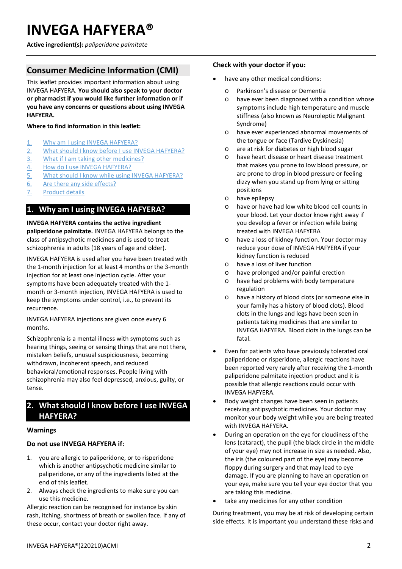# <span id="page-1-2"></span><span id="page-1-0"></span>**INVEGA HAFYERA®**

**Active ingredient(s):** *paliperidone palmitate*

# **Consumer Medicine Information (CMI)**

This leaflet provides important information about using INVEGA HAFYERA. **You should also speak to your doctor or pharmacist if you would like further information or if you have any concerns or questions about using INVEGA HAFYERA.**

## **Where to find information in this leaflet:**

- 1. [Why am I using INVEGA HAFYERA?](#page-1-3)
- 2. [What should I know before I use INVEGA HAFYERA?](#page-1-1)
- 3. [What if I am taking other medicines?](#page-2-0)
- 4. [How do I use INVEGA HAFYERA?](#page-2-1)
- 5. What [should I know while using INVEGA HAFYERA?](#page-3-0)
- 6. [Are there any side effects?](#page-3-1)
- 7. [Product details](#page-4-0)

# <span id="page-1-3"></span>**1. Why am I using INVEGA HAFYERA?**

**INVEGA HAFYERA contains the active ingredient paliperidone palmitate.** INVEGA HAFYERA belongs to the class of antipsychotic medicines and is used to treat schizophrenia in adults (18 years of age and older).

INVEGA HAFYERA is used after you have been treated with the 1-month injection for at least 4 months or the 3-month injection for at least one injection cycle. After your symptoms have been adequately treated with the 1 month or 3-month injection, INVEGA HAFYERA is used to keep the symptoms under control, i.e., to prevent its recurrence.

INVEGA HAFYERA injections are given once every 6 months.

Schizophrenia is a mental illness with symptoms such as hearing things, seeing or sensing things that are not there, mistaken beliefs, unusual suspiciousness, becoming withdrawn, incoherent speech, and reduced behavioral/emotional responses. People living with schizophrenia may also feel depressed, anxious, guilty, or tense.

# <span id="page-1-1"></span>**2. What should I know before I use INVEGA HAFYERA?**

## **Warnings**

## **Do not use INVEGA HAFYERA if:**

- 1. you are allergic to paliperidone, or to risperidone which is another antipsychotic medicine similar to paliperidone, or any of the ingredients listed at the end of this leaflet.
- 2. Always check the ingredients to make sure you can use this medicine.

Allergic reaction can be recognised for instance by skin rash, itching, shortness of breath or swollen face. If any of these occur, contact your doctor right away.

## **Check with your doctor if you:**

- have any other medical conditions:
	- o Parkinson's disease or Dementia
	- o have ever been diagnosed with a condition whose symptoms include high temperature and muscle stiffness (also known as Neuroleptic Malignant Syndrome)
	- o have ever experienced abnormal movements of the tongue or face (Tardive Dyskinesia)
	- o are at risk for diabetes or high blood sugar
	- o have heart disease or heart disease treatment that makes you prone to low blood pressure, or are prone to drop in blood pressure or feeling dizzy when you stand up from lying or sitting positions
	- o have epilepsy
	- o have or have had low white blood cell counts in your blood. Let your doctor know right away if you develop a fever or infection while being treated with INVEGA HAFYERA
	- o have a loss of kidney function. Your doctor may reduce your dose of INVEGA HAFYERA if your kidney function is reduced
	- o have a loss of liver function
	- o have prolonged and/or painful erection
	- o have had problems with body temperature regulation
	- o have a history of blood clots (or someone else in your family has a history of blood clots). Blood clots in the lungs and legs have been seen in patients taking medicines that are similar to INVEGA HAFYERA. Blood clots in the lungs can be fatal.
- Even for patients who have previously tolerated oral paliperidone or risperidone, allergic reactions have been reported very rarely after receiving the 1-month paliperidone palmitate injection product and it is possible that allergic reactions could occur with INVEGA HAFYERA.
- Body weight changes have been seen in patients receiving antipsychotic medicines. Your doctor may monitor your body weight while you are being treated with INVEGA HAFYERA.
- During an operation on the eye for cloudiness of the lens (cataract), the pupil (the black circle in the middle of your eye) may not increase in size as needed. Also, the iris (the coloured part of the eye) may become floppy during surgery and that may lead to eye damage. If you are planning to have an operation on your eye, make sure you tell your eye doctor that you are taking this medicine.
- take any medicines for any other condition

During treatment, you may be at risk of developing certain side effects. It is important you understand these risks and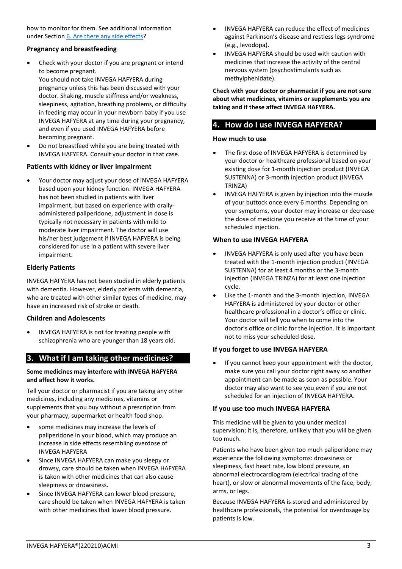how to monitor for them. See additional information under Section [6. Are there any side effects?](#page-3-1)

## **Pregnancy and breastfeeding**

Check with your doctor if you are pregnant or intend to become pregnant.

You should not take INVEGA HAFYERA during pregnancy unless this has been discussed with your doctor. Shaking, muscle stiffness and/or weakness, sleepiness, agitation, breathing problems, or difficulty in feeding may occur in your newborn baby if you use INVEGA HAFYERA at any time during your pregnancy, and even if you used INVEGA HAFYERA before becoming pregnant.

• Do not breastfeed while you are being treated with INVEGA HAFYERA. Consult your doctor in that case.

## **Patients with kidney or liver impairment**

Your doctor may adjust your dose of INVEGA HAFYERA based upon your kidney function. INVEGA HAFYERA has not been studied in patients with liver impairment, but based on experience with orallyadministered paliperidone, adjustment in dose is typically not necessary in patients with mild to moderate liver impairment. The doctor will use his/her best judgement if INVEGA HAFYERA is being considered for use in a patient with severe liver impairment.

## **Elderly Patients**

INVEGA HAFYERA has not been studied in elderly patients with dementia. However, elderly patients with dementia, who are treated with other similar types of medicine, may have an increased risk of stroke or death.

## **Children and Adolescents**

• INVEGA HAFYERA is not for treating people with schizophrenia who are younger than 18 years old.

# <span id="page-2-0"></span>**3. What if I am taking other medicines?**

## **Some medicines may interfere with INVEGA HAFYERA and affect how it works.**

Tell your doctor or pharmacist if you are taking any other medicines, including any medicines, vitamins or supplements that you buy without a prescription from your pharmacy, supermarket or health food shop.

- some medicines may increase the levels of paliperidone in your blood, which may produce an increase in side effects resembling overdose of INVEGA HAFYERA
- Since INVEGA HAFYERA can make you sleepy or drowsy, care should be taken when INVEGA HAFYERA is taken with other medicines that can also cause sleepiness or drowsiness.
- Since INVEGA HAFYERA can lower blood pressure, care should be taken when INVEGA HAFYERA is taken with other medicines that lower blood pressure.
- INVEGA HAFYERA can reduce the effect of medicines against Parkinson's disease and restless legs syndrome (e.g., levodopa).
- INVEGA HAFYERA should be used with caution with medicines that increase the activity of the central nervous system (psychostimulants such as methylphenidate).

**Check with your doctor or pharmacist if you are not sure about what medicines, vitamins or supplements you are taking and if these affect INVEGA HAFYERA.**

# <span id="page-2-1"></span>**4. How do I use INVEGA HAFYERA?**

## **How much to use**

- The first dose of INVEGA HAFYERA is determined by your doctor or healthcare professional based on your existing dose for 1-month injection product (INVEGA SUSTENNA) or 3-month injection product (INVEGA TRINZA)
- INVEGA HAFYERA is given by injection into the muscle of your buttock once every 6 months. Depending on your symptoms, your doctor may increase or decrease the dose of medicine you receive at the time of your scheduled injection.

## **When to use INVEGA HAFYERA**

- INVEGA HAFYERA is only used after you have been treated with the 1-month injection product (INVEGA SUSTENNA) for at least 4 months or the 3-month injection (INVEGA TRINZA) for at least one injection cycle.
- Like the 1-month and the 3-month injection, INVEGA HAFYERA is administered by your doctor or other healthcare professional in a doctor's office or clinic. Your doctor will tell you when to come into the doctor's office or clinic for the injection. It is important not to miss your scheduled dose.

## **If you forget to use INVEGA HAFYERA**

If you cannot keep your appointment with the doctor, make sure you call your doctor right away so another appointment can be made as soon as possible. Your doctor may also want to see you even if you are not scheduled for an injection of INVEGA HAFYERA.

## **If you use too much INVEGA HAFYERA**

This medicine will be given to you under medical supervision; it is, therefore, unlikely that you will be given too much.

Patients who have been given too much paliperidone may experience the following symptoms: drowsiness or sleepiness, fast heart rate, low blood pressure, an abnormal electrocardiogram (electrical tracing of the heart), or slow or abnormal movements of the face, body, arms, or legs.

Because INVEGA HAFYERA is stored and administered by healthcare professionals, the potential for overdosage by patients is low.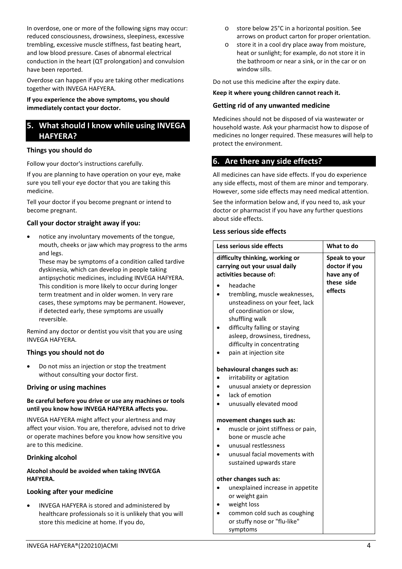In overdose, one or more of the following signs may occur: reduced consciousness, drowsiness, sleepiness, excessive trembling, excessive muscle stiffness, fast beating heart, and low blood pressure. Cases of abnormal electrical conduction in the heart (QT prolongation) and convulsion have been reported.

Overdose can happen if you are taking other medications together with INVEGA HAFYERA.

**If you experience the above symptoms, you should immediately contact your doctor.**

## <span id="page-3-0"></span>**5. What should I know while using INVEGA HAFYERA?**

## **Things you should do**

Follow your doctor's instructions carefully.

If you are planning to have operation on your eye, make sure you tell your eye doctor that you are taking this medicine.

Tell your doctor if you become pregnant or intend to become pregnant.

## **Call your doctor straight away if you:**

• notice any involuntary movements of the tongue, mouth, cheeks or jaw which may progress to the arms and legs.

These may be symptoms of a condition called tardive dyskinesia, which can develop in people taking antipsychotic medicines, including INVEGA HAFYERA. This condition is more likely to occur during longer term treatment and in older women. In very rare cases, these symptoms may be permanent. However, if detected early, these symptoms are usually reversible.

Remind any doctor or dentist you visit that you are using INVEGA HAFYERA.

## **Things you should not do**

• Do not miss an injection or stop the treatment without consulting your doctor first.

#### **Driving or using machines**

#### **Be careful before you drive or use any machines or tools until you know how INVEGA HAFYERA affects you.**

INVEGA HAFYERA might affect your alertness and may affect your vision. You are, therefore, advised not to drive or operate machines before you know how sensitive you are to this medicine.

## **Drinking alcohol**

#### **Alcohol should be avoided when taking INVEGA HAFYERA.**

## **Looking after your medicine**

• INVEGA HAFYERA is stored and administered by healthcare professionals so it is unlikely that you will store this medicine at home. If you do,

- o store below 25°C in a horizontal position. See arrows on product carton for proper orientation.
- o store it in a cool dry place away from moisture, heat or sunlight; for example, do not store it in the bathroom or near a sink, or in the car or on window sills.

Do not use this medicine after the expiry date.

**Keep it where young children cannot reach it.**

## **Getting rid of any unwanted medicine**

<span id="page-3-1"></span>Medicines should not be disposed of via wastewater or household waste. Ask your pharmacist how to dispose of medicines no longer required. These measures will help to protect the environment.

## **6. Are there any side effects?**

All medicines can have side effects. If you do experience any side effects, most of them are minor and temporary. However, some side effects may need medical attention.

See the information below and, if you need to, ask your doctor or pharmacist if you have any further questions about side effects.

#### **Less serious side effects**

symptoms

| Less serious side effects                                                                                                                                                                                                                              |  | What to do                                    |
|--------------------------------------------------------------------------------------------------------------------------------------------------------------------------------------------------------------------------------------------------------|--|-----------------------------------------------|
| difficulty thinking, working or<br>carrying out your usual daily<br>activities because of:                                                                                                                                                             |  | Speak to your<br>doctor if you<br>have any of |
| headache<br>trembling, muscle weaknesses,<br>unsteadiness on your feet, lack<br>of coordination or slow,<br>shuffling walk<br>difficulty falling or staying<br>asleep, drowsiness, tiredness,<br>difficulty in concentrating<br>pain at injection site |  | these side<br>effects                         |
| behavioural changes such as:                                                                                                                                                                                                                           |  |                                               |
| irritability or agitation<br>unusual anxiety or depression<br>lack of emotion<br>unusually elevated mood                                                                                                                                               |  |                                               |
| movement changes such as:<br>muscle or joint stiffness or pain,<br>bone or muscle ache<br>unusual restlessness<br>unusual facial movements with<br>sustained upwards stare                                                                             |  |                                               |
| other changes such as:                                                                                                                                                                                                                                 |  |                                               |
| unexplained increase in appetite<br>or weight gain<br>weight loss<br>common cold such as coughing<br>or stuffy nose or "flu-like"                                                                                                                      |  |                                               |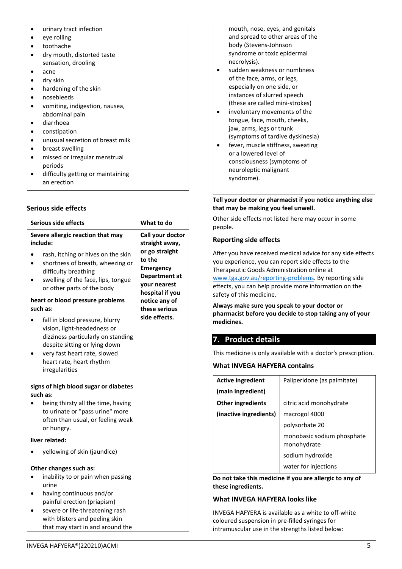| urinary tract infection           |  |
|-----------------------------------|--|
| eye rolling                       |  |
| toothache                         |  |
| dry mouth, distorted taste        |  |
| sensation, drooling               |  |
| acne                              |  |
| dry skin                          |  |
| hardening of the skin             |  |
| nosebleeds                        |  |
| vomiting, indigestion, nausea,    |  |
| abdominal pain                    |  |
| diarrhoea                         |  |
| constipation                      |  |
| unusual secretion of breast milk  |  |
| breast swelling                   |  |
| missed or irregular menstrual     |  |
| periods                           |  |
| difficulty getting or maintaining |  |
| an erection                       |  |

## **Serious side effects**

| Serious side effects                                                                                                                                                                                               | What to do                                                                                       |
|--------------------------------------------------------------------------------------------------------------------------------------------------------------------------------------------------------------------|--------------------------------------------------------------------------------------------------|
| Severe allergic reaction that may<br>include:                                                                                                                                                                      | Call your doctor<br>straight away,                                                               |
| rash, itching or hives on the skin<br>shortness of breath, wheezing or<br>difficulty breathing<br>swelling of the face, lips, tongue<br>or other parts of the body                                                 | or go straight<br>to the<br><b>Emergency</b><br>Department at<br>your nearest<br>hospital if you |
| heart or blood pressure problems<br>such as:                                                                                                                                                                       | notice any of<br>these serious                                                                   |
| fall in blood pressure, blurry<br>vision, light-headedness or<br>dizziness particularly on standing<br>despite sitting or lying down<br>very fast heart rate, slowed<br>heart rate, heart rhythm<br>irregularities | side effects.                                                                                    |
| signs of high blood sugar or diabetes                                                                                                                                                                              |                                                                                                  |
| such as:<br>being thirsty all the time, having<br>to urinate or "pass urine" more<br>often than usual, or feeling weak<br>or hungry.                                                                               |                                                                                                  |
| liver related:                                                                                                                                                                                                     |                                                                                                  |
| yellowing of skin (jaundice)                                                                                                                                                                                       |                                                                                                  |
| Other changes such as:<br>inability to or pain when passing<br>urine<br>having continuous and/or<br>painful erection (priapism)<br>severe or life-threatening rash<br>with blisters and peeling skin               |                                                                                                  |
| that may start in and around the                                                                                                                                                                                   |                                                                                                  |

| mouth, nose, eyes, and genitals<br>and spread to other areas of the<br>body (Stevens-Johnson<br>syndrome or toxic epidermal<br>necrolysis). |  |
|---------------------------------------------------------------------------------------------------------------------------------------------|--|
| sudden weakness or numbness                                                                                                                 |  |
|                                                                                                                                             |  |
| of the face, arms, or legs,                                                                                                                 |  |
| especially on one side, or                                                                                                                  |  |
| instances of slurred speech                                                                                                                 |  |
| (these are called mini-strokes)                                                                                                             |  |
| involuntary movements of the                                                                                                                |  |
| tongue, face, mouth, cheeks,                                                                                                                |  |
| jaw, arms, legs or trunk                                                                                                                    |  |
| (symptoms of tardive dyskinesia)                                                                                                            |  |
| fever, muscle stiffness, sweating                                                                                                           |  |
| or a lowered level of                                                                                                                       |  |
| consciousness (symptoms of                                                                                                                  |  |
| neuroleptic malignant                                                                                                                       |  |
| syndrome).                                                                                                                                  |  |
|                                                                                                                                             |  |

**Tell your doctor or pharmacist if you notice anything else that may be making you feel unwell.** 

Other side effects not listed here may occur in some people.

## **Reporting side effects**

After you have received medical advice for any side effects you experience, you can report side effects to the Therapeutic Goods Administration online at [www.tga.gov.au/reporting-problems.](http://www.tga.gov.au/reporting-problems) By reporting side effects, you can help provide more information on the safety of this medicine.

**Always make sure you speak to your doctor or pharmacist before you decide to stop taking any of your medicines.**

# <span id="page-4-0"></span>**7. Product details**

This medicine is only available with a doctor's prescription.

## **What INVEGA HAFYERA contains**

| <b>Active ingredient</b> | Paliperidone (as palmitate)               |
|--------------------------|-------------------------------------------|
| (main ingredient)        |                                           |
| <b>Other ingredients</b> | citric acid monohydrate                   |
| (inactive ingredients)   | macrogol 4000                             |
|                          | polysorbate 20                            |
|                          | monobasic sodium phosphate<br>monohydrate |
|                          | sodium hydroxide                          |
|                          | water for injections                      |

**Do not take this medicine if you are allergic to any of these ingredients.**

## **What INVEGA HAFYERA looks like**

INVEGA HAFYERA is available as a white to off-white coloured suspension in pre-filled syringes for intramuscular use in the strengths listed below: